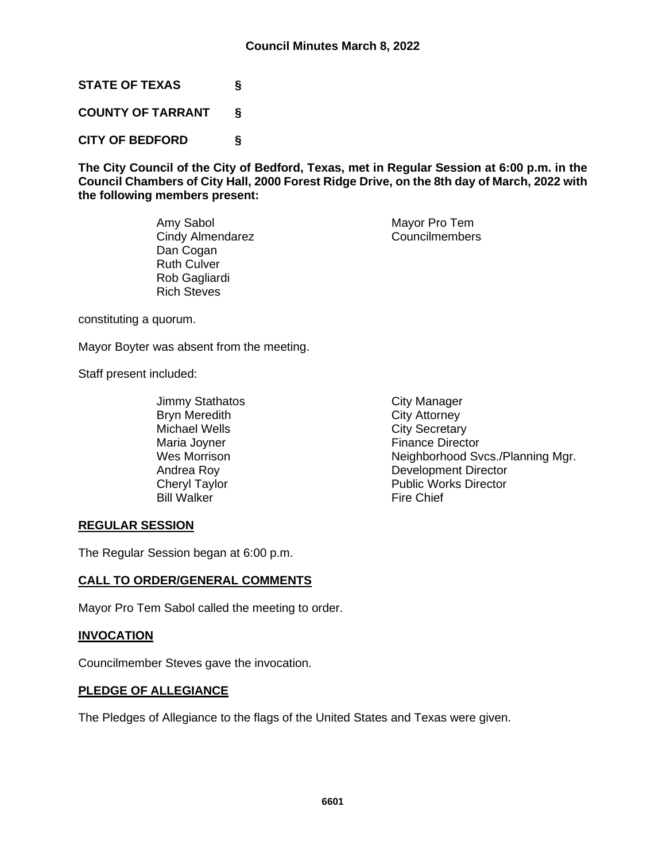**STATE OF TEXAS §**

**COUNTY OF TARRANT §**

**CITY OF BEDFORD §**

**The City Council of the City of Bedford, Texas, met in Regular Session at 6:00 p.m. in the Council Chambers of City Hall, 2000 Forest Ridge Drive, on the 8th day of March, 2022 with the following members present:**

> Amy Sabol Mayor Pro Tem Cindy Almendarez Councilmembers Dan Cogan Ruth Culver Rob Gagliardi Rich Steves

constituting a quorum.

Mayor Boyter was absent from the meeting.

Staff present included:

- Jimmy Stathatos City Manager<br>Bryn Meredith City Attorney Bryn Meredith Michael Wells **City Secretary** Maria Joyner **Finance Director** Bill Walker Fire Chief
- Wes Morrison **Neighborhood Svcs./Planning Mgr.** Andrea Roy **Development Director**<br>
Cheryl Taylor **Development Director**<br>
Public Works Director Public Works Director

# **REGULAR SESSION**

The Regular Session began at 6:00 p.m.

### **CALL TO ORDER/GENERAL COMMENTS**

Mayor Pro Tem Sabol called the meeting to order.

### **INVOCATION**

Councilmember Steves gave the invocation.

### **PLEDGE OF ALLEGIANCE**

The Pledges of Allegiance to the flags of the United States and Texas were given.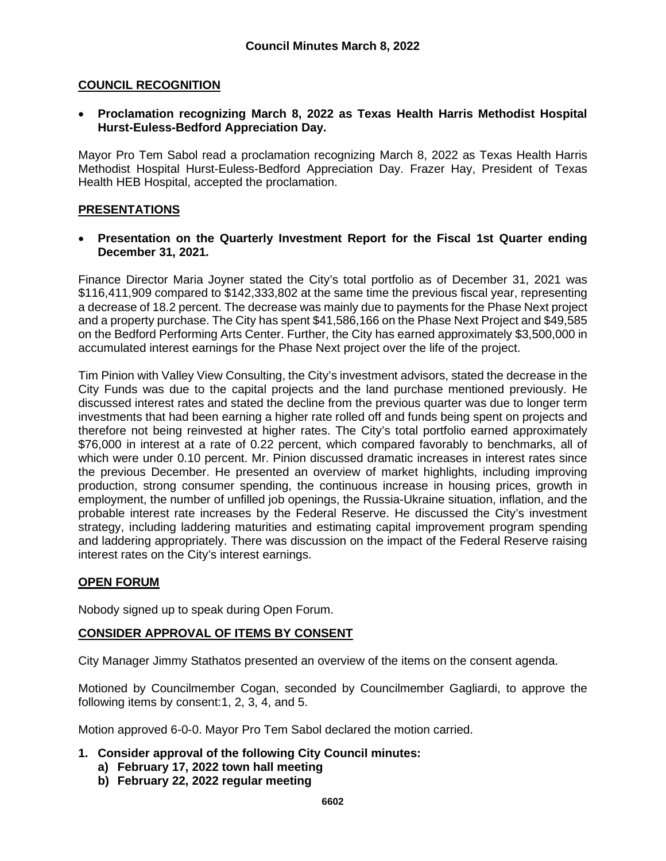## **COUNCIL RECOGNITION**

• **Proclamation recognizing March 8, 2022 as Texas Health Harris Methodist Hospital Hurst-Euless-Bedford Appreciation Day.** 

Mayor Pro Tem Sabol read a proclamation recognizing March 8, 2022 as Texas Health Harris Methodist Hospital Hurst-Euless-Bedford Appreciation Day. Frazer Hay, President of Texas Health HEB Hospital, accepted the proclamation.

### **PRESENTATIONS**

• **Presentation on the Quarterly Investment Report for the Fiscal 1st Quarter ending December 31, 2021.**

Finance Director Maria Joyner stated the City's total portfolio as of December 31, 2021 was \$116,411,909 compared to \$142,333,802 at the same time the previous fiscal year, representing a decrease of 18.2 percent. The decrease was mainly due to payments for the Phase Next project and a property purchase. The City has spent \$41,586,166 on the Phase Next Project and \$49,585 on the Bedford Performing Arts Center. Further, the City has earned approximately \$3,500,000 in accumulated interest earnings for the Phase Next project over the life of the project.

Tim Pinion with Valley View Consulting, the City's investment advisors, stated the decrease in the City Funds was due to the capital projects and the land purchase mentioned previously. He discussed interest rates and stated the decline from the previous quarter was due to longer term investments that had been earning a higher rate rolled off and funds being spent on projects and therefore not being reinvested at higher rates. The City's total portfolio earned approximately \$76,000 in interest at a rate of 0.22 percent, which compared favorably to benchmarks, all of which were under 0.10 percent. Mr. Pinion discussed dramatic increases in interest rates since the previous December. He presented an overview of market highlights, including improving production, strong consumer spending, the continuous increase in housing prices, growth in employment, the number of unfilled job openings, the Russia-Ukraine situation, inflation, and the probable interest rate increases by the Federal Reserve. He discussed the City's investment strategy, including laddering maturities and estimating capital improvement program spending and laddering appropriately. There was discussion on the impact of the Federal Reserve raising interest rates on the City's interest earnings.

### **OPEN FORUM**

Nobody signed up to speak during Open Forum.

### **CONSIDER APPROVAL OF ITEMS BY CONSENT**

City Manager Jimmy Stathatos presented an overview of the items on the consent agenda.

Motioned by Councilmember Cogan, seconded by Councilmember Gagliardi, to approve the following items by consent:1, 2, 3, 4, and 5.

Motion approved 6-0-0. Mayor Pro Tem Sabol declared the motion carried.

- **1. Consider approval of the following City Council minutes:**
	- **a) February 17, 2022 town hall meeting**
	- **b) February 22, 2022 regular meeting**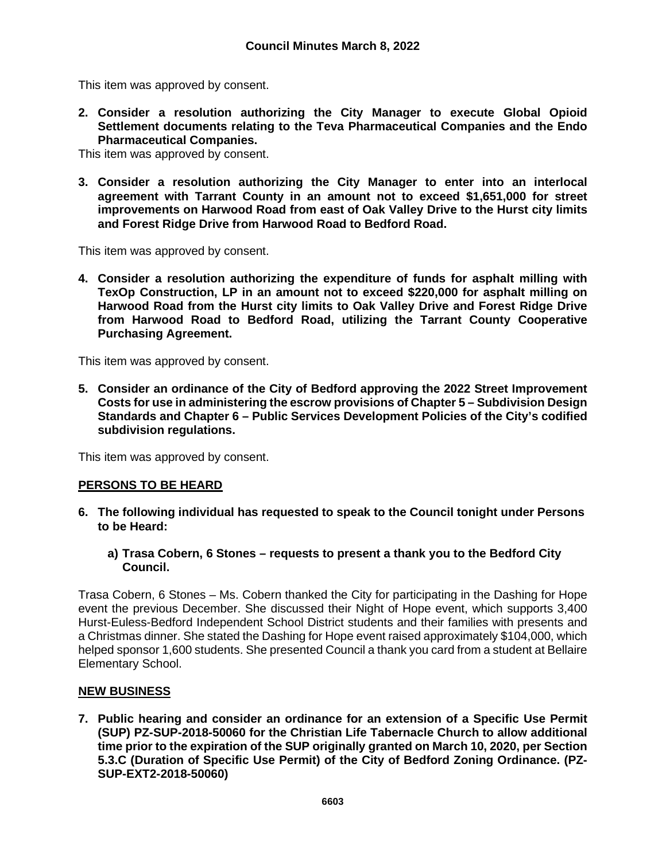This item was approved by consent.

**2. Consider a resolution authorizing the City Manager to execute Global Opioid Settlement documents relating to the Teva Pharmaceutical Companies and the Endo Pharmaceutical Companies.** 

This item was approved by consent.

**3. Consider a resolution authorizing the City Manager to enter into an interlocal agreement with Tarrant County in an amount not to exceed \$1,651,000 for street improvements on Harwood Road from east of Oak Valley Drive to the Hurst city limits and Forest Ridge Drive from Harwood Road to Bedford Road.** 

This item was approved by consent.

**4. Consider a resolution authorizing the expenditure of funds for asphalt milling with TexOp Construction, LP in an amount not to exceed \$220,000 for asphalt milling on Harwood Road from the Hurst city limits to Oak Valley Drive and Forest Ridge Drive from Harwood Road to Bedford Road, utilizing the Tarrant County Cooperative Purchasing Agreement.**

This item was approved by consent.

**5. Consider an ordinance of the City of Bedford approving the 2022 Street Improvement Costs for use in administering the escrow provisions of Chapter 5 – Subdivision Design Standards and Chapter 6 – Public Services Development Policies of the City's codified subdivision regulations.**

This item was approved by consent.

### **PERSONS TO BE HEARD**

- **6. The following individual has requested to speak to the Council tonight under Persons to be Heard:**
	- **a) Trasa Cobern, 6 Stones – requests to present a thank you to the Bedford City Council.**

Trasa Cobern, 6 Stones – Ms. Cobern thanked the City for participating in the Dashing for Hope event the previous December. She discussed their Night of Hope event, which supports 3,400 Hurst-Euless-Bedford Independent School District students and their families with presents and a Christmas dinner. She stated the Dashing for Hope event raised approximately \$104,000, which helped sponsor 1,600 students. She presented Council a thank you card from a student at Bellaire Elementary School.

#### **NEW BUSINESS**

**7. Public hearing and consider an ordinance for an extension of a Specific Use Permit (SUP) PZ-SUP-2018-50060 for the Christian Life Tabernacle Church to allow additional time prior to the expiration of the SUP originally granted on March 10, 2020, per Section 5.3.C (Duration of Specific Use Permit) of the City of Bedford Zoning Ordinance. (PZ-SUP-EXT2-2018-50060)**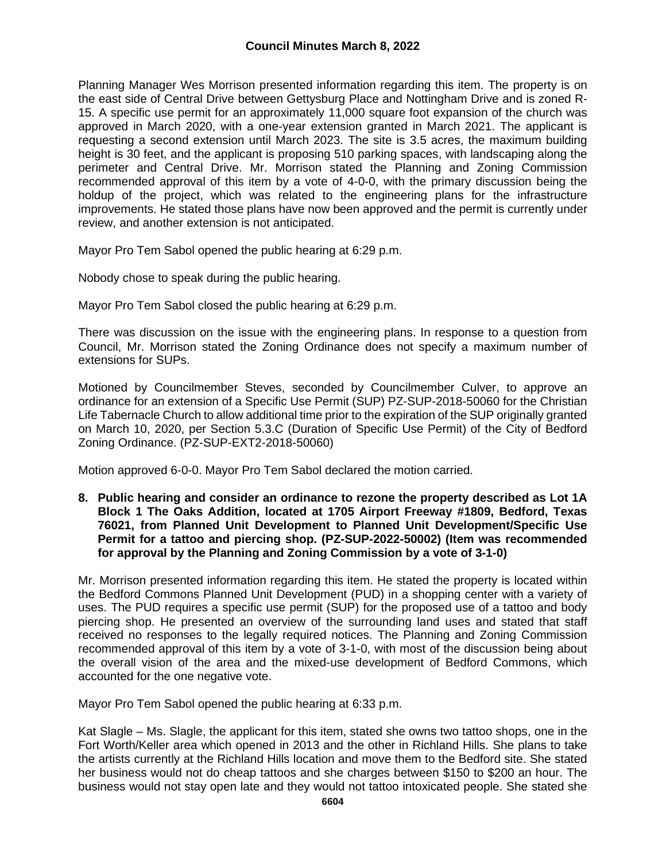Planning Manager Wes Morrison presented information regarding this item. The property is on the east side of Central Drive between Gettysburg Place and Nottingham Drive and is zoned R-15. A specific use permit for an approximately 11,000 square foot expansion of the church was approved in March 2020, with a one-year extension granted in March 2021. The applicant is requesting a second extension until March 2023. The site is 3.5 acres, the maximum building height is 30 feet, and the applicant is proposing 510 parking spaces, with landscaping along the perimeter and Central Drive. Mr. Morrison stated the Planning and Zoning Commission recommended approval of this item by a vote of 4-0-0, with the primary discussion being the holdup of the project, which was related to the engineering plans for the infrastructure improvements. He stated those plans have now been approved and the permit is currently under review, and another extension is not anticipated.

Mayor Pro Tem Sabol opened the public hearing at 6:29 p.m.

Nobody chose to speak during the public hearing.

Mayor Pro Tem Sabol closed the public hearing at 6:29 p.m.

There was discussion on the issue with the engineering plans. In response to a question from Council, Mr. Morrison stated the Zoning Ordinance does not specify a maximum number of extensions for SUPs.

Motioned by Councilmember Steves, seconded by Councilmember Culver, to approve an ordinance for an extension of a Specific Use Permit (SUP) PZ-SUP-2018-50060 for the Christian Life Tabernacle Church to allow additional time prior to the expiration of the SUP originally granted on March 10, 2020, per Section 5.3.C (Duration of Specific Use Permit) of the City of Bedford Zoning Ordinance. (PZ-SUP-EXT2-2018-50060)

Motion approved 6-0-0. Mayor Pro Tem Sabol declared the motion carried.

**8. Public hearing and consider an ordinance to rezone the property described as Lot 1A Block 1 The Oaks Addition, located at 1705 Airport Freeway #1809, Bedford, Texas 76021, from Planned Unit Development to Planned Unit Development/Specific Use Permit for a tattoo and piercing shop. (PZ-SUP-2022-50002) (Item was recommended for approval by the Planning and Zoning Commission by a vote of 3-1-0)**

Mr. Morrison presented information regarding this item. He stated the property is located within the Bedford Commons Planned Unit Development (PUD) in a shopping center with a variety of uses. The PUD requires a specific use permit (SUP) for the proposed use of a tattoo and body piercing shop. He presented an overview of the surrounding land uses and stated that staff received no responses to the legally required notices. The Planning and Zoning Commission recommended approval of this item by a vote of 3-1-0, with most of the discussion being about the overall vision of the area and the mixed-use development of Bedford Commons, which accounted for the one negative vote.

Mayor Pro Tem Sabol opened the public hearing at 6:33 p.m.

Kat Slagle – Ms. Slagle, the applicant for this item, stated she owns two tattoo shops, one in the Fort Worth/Keller area which opened in 2013 and the other in Richland Hills. She plans to take the artists currently at the Richland Hills location and move them to the Bedford site. She stated her business would not do cheap tattoos and she charges between \$150 to \$200 an hour. The business would not stay open late and they would not tattoo intoxicated people. She stated she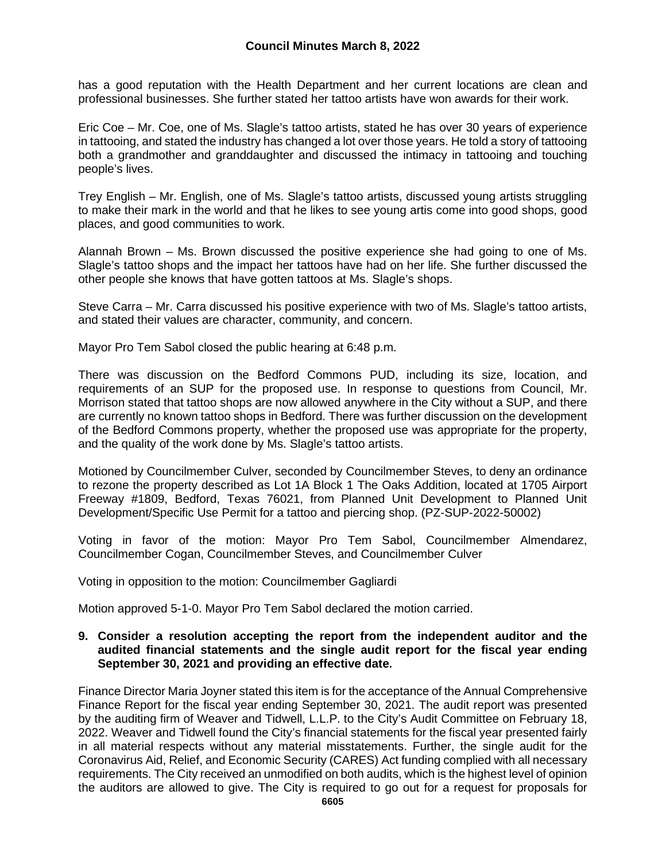has a good reputation with the Health Department and her current locations are clean and professional businesses. She further stated her tattoo artists have won awards for their work.

Eric Coe – Mr. Coe, one of Ms. Slagle's tattoo artists, stated he has over 30 years of experience in tattooing, and stated the industry has changed a lot over those years. He told a story of tattooing both a grandmother and granddaughter and discussed the intimacy in tattooing and touching people's lives.

Trey English – Mr. English, one of Ms. Slagle's tattoo artists, discussed young artists struggling to make their mark in the world and that he likes to see young artis come into good shops, good places, and good communities to work.

Alannah Brown – Ms. Brown discussed the positive experience she had going to one of Ms. Slagle's tattoo shops and the impact her tattoos have had on her life. She further discussed the other people she knows that have gotten tattoos at Ms. Slagle's shops.

Steve Carra – Mr. Carra discussed his positive experience with two of Ms. Slagle's tattoo artists, and stated their values are character, community, and concern.

Mayor Pro Tem Sabol closed the public hearing at 6:48 p.m.

There was discussion on the Bedford Commons PUD, including its size, location, and requirements of an SUP for the proposed use. In response to questions from Council, Mr. Morrison stated that tattoo shops are now allowed anywhere in the City without a SUP, and there are currently no known tattoo shops in Bedford. There was further discussion on the development of the Bedford Commons property, whether the proposed use was appropriate for the property, and the quality of the work done by Ms. Slagle's tattoo artists.

Motioned by Councilmember Culver, seconded by Councilmember Steves, to deny an ordinance to rezone the property described as Lot 1A Block 1 The Oaks Addition, located at 1705 Airport Freeway #1809, Bedford, Texas 76021, from Planned Unit Development to Planned Unit Development/Specific Use Permit for a tattoo and piercing shop. (PZ-SUP-2022-50002)

Voting in favor of the motion: Mayor Pro Tem Sabol, Councilmember Almendarez, Councilmember Cogan, Councilmember Steves, and Councilmember Culver

Voting in opposition to the motion: Councilmember Gagliardi

Motion approved 5-1-0. Mayor Pro Tem Sabol declared the motion carried.

#### **9. Consider a resolution accepting the report from the independent auditor and the audited financial statements and the single audit report for the fiscal year ending September 30, 2021 and providing an effective date.**

Finance Director Maria Joyner stated this item is for the acceptance of the Annual Comprehensive Finance Report for the fiscal year ending September 30, 2021. The audit report was presented by the auditing firm of Weaver and Tidwell, L.L.P. to the City's Audit Committee on February 18, 2022. Weaver and Tidwell found the City's financial statements for the fiscal year presented fairly in all material respects without any material misstatements. Further, the single audit for the Coronavirus Aid, Relief, and Economic Security (CARES) Act funding complied with all necessary requirements. The City received an unmodified on both audits, which is the highest level of opinion the auditors are allowed to give. The City is required to go out for a request for proposals for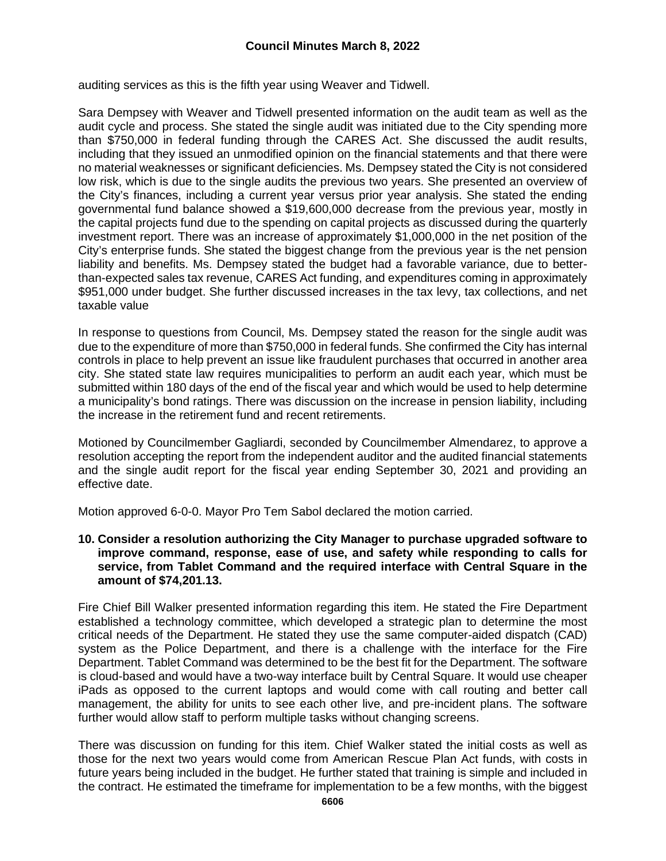auditing services as this is the fifth year using Weaver and Tidwell.

Sara Dempsey with Weaver and Tidwell presented information on the audit team as well as the audit cycle and process. She stated the single audit was initiated due to the City spending more than \$750,000 in federal funding through the CARES Act. She discussed the audit results, including that they issued an unmodified opinion on the financial statements and that there were no material weaknesses or significant deficiencies. Ms. Dempsey stated the City is not considered low risk, which is due to the single audits the previous two years. She presented an overview of the City's finances, including a current year versus prior year analysis. She stated the ending governmental fund balance showed a \$19,600,000 decrease from the previous year, mostly in the capital projects fund due to the spending on capital projects as discussed during the quarterly investment report. There was an increase of approximately \$1,000,000 in the net position of the City's enterprise funds. She stated the biggest change from the previous year is the net pension liability and benefits. Ms. Dempsey stated the budget had a favorable variance, due to betterthan-expected sales tax revenue, CARES Act funding, and expenditures coming in approximately \$951,000 under budget. She further discussed increases in the tax levy, tax collections, and net taxable value

In response to questions from Council, Ms. Dempsey stated the reason for the single audit was due to the expenditure of more than \$750,000 in federal funds. She confirmed the City has internal controls in place to help prevent an issue like fraudulent purchases that occurred in another area city. She stated state law requires municipalities to perform an audit each year, which must be submitted within 180 days of the end of the fiscal year and which would be used to help determine a municipality's bond ratings. There was discussion on the increase in pension liability, including the increase in the retirement fund and recent retirements.

Motioned by Councilmember Gagliardi, seconded by Councilmember Almendarez, to approve a resolution accepting the report from the independent auditor and the audited financial statements and the single audit report for the fiscal year ending September 30, 2021 and providing an effective date.

Motion approved 6-0-0. Mayor Pro Tem Sabol declared the motion carried.

#### **10. Consider a resolution authorizing the City Manager to purchase upgraded software to improve command, response, ease of use, and safety while responding to calls for service, from Tablet Command and the required interface with Central Square in the amount of \$74,201.13.**

Fire Chief Bill Walker presented information regarding this item. He stated the Fire Department established a technology committee, which developed a strategic plan to determine the most critical needs of the Department. He stated they use the same computer-aided dispatch (CAD) system as the Police Department, and there is a challenge with the interface for the Fire Department. Tablet Command was determined to be the best fit for the Department. The software is cloud-based and would have a two-way interface built by Central Square. It would use cheaper iPads as opposed to the current laptops and would come with call routing and better call management, the ability for units to see each other live, and pre-incident plans. The software further would allow staff to perform multiple tasks without changing screens.

There was discussion on funding for this item. Chief Walker stated the initial costs as well as those for the next two years would come from American Rescue Plan Act funds, with costs in future years being included in the budget. He further stated that training is simple and included in the contract. He estimated the timeframe for implementation to be a few months, with the biggest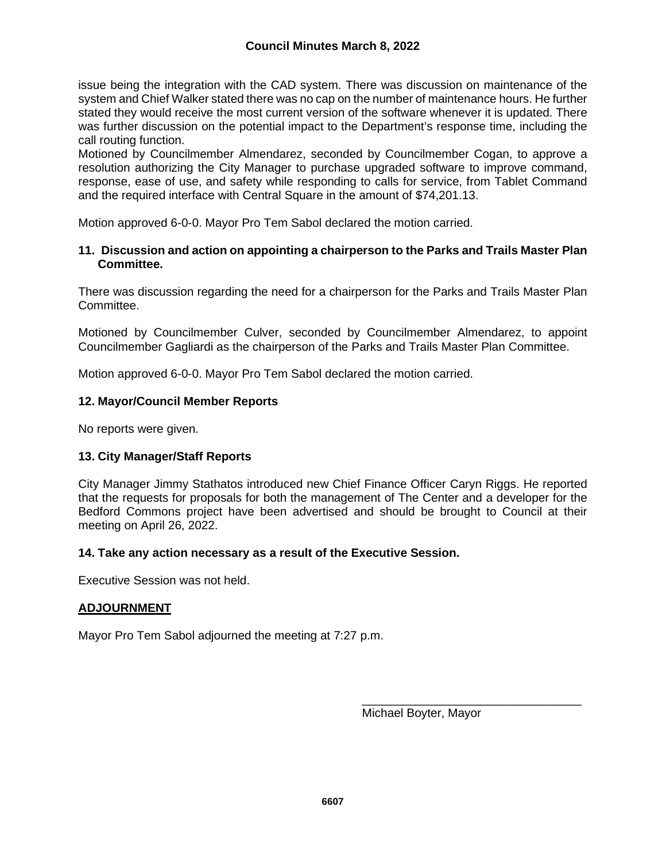issue being the integration with the CAD system. There was discussion on maintenance of the system and Chief Walker stated there was no cap on the number of maintenance hours. He further stated they would receive the most current version of the software whenever it is updated. There was further discussion on the potential impact to the Department's response time, including the call routing function.

Motioned by Councilmember Almendarez, seconded by Councilmember Cogan, to approve a resolution authorizing the City Manager to purchase upgraded software to improve command, response, ease of use, and safety while responding to calls for service, from Tablet Command and the required interface with Central Square in the amount of \$74,201.13.

Motion approved 6-0-0. Mayor Pro Tem Sabol declared the motion carried.

## **11. Discussion and action on appointing a chairperson to the Parks and Trails Master Plan Committee.**

There was discussion regarding the need for a chairperson for the Parks and Trails Master Plan Committee.

Motioned by Councilmember Culver, seconded by Councilmember Almendarez, to appoint Councilmember Gagliardi as the chairperson of the Parks and Trails Master Plan Committee.

Motion approved 6-0-0. Mayor Pro Tem Sabol declared the motion carried.

# **12. Mayor/Council Member Reports**

No reports were given.

### **13. City Manager/Staff Reports**

City Manager Jimmy Stathatos introduced new Chief Finance Officer Caryn Riggs. He reported that the requests for proposals for both the management of The Center and a developer for the Bedford Commons project have been advertised and should be brought to Council at their meeting on April 26, 2022.

### **14. Take any action necessary as a result of the Executive Session.**

Executive Session was not held.

### **ADJOURNMENT**

Mayor Pro Tem Sabol adjourned the meeting at 7:27 p.m.

\_\_\_\_\_\_\_\_\_\_\_\_\_\_\_\_\_\_\_\_\_\_\_\_\_\_\_\_\_\_\_\_\_ Michael Boyter, Mayor